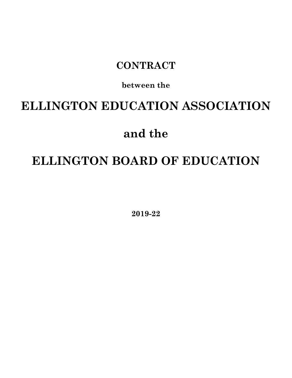# **CONTRACT**

# **between the**

# **ELLINGTON EDUCATION ASSOCIATION**

# **and the**

# **ELLINGTON BOARD OF EDUCATION**

**2019-22**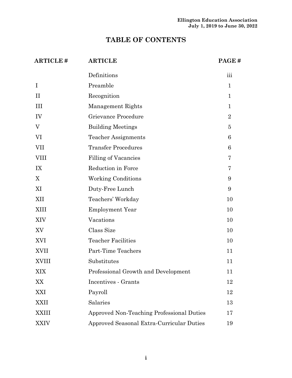# **TABLE OF CONTENTS**

| <b>ARTICLE#</b> | <b>ARTICLE</b>                            | PAGE#                   |
|-----------------|-------------------------------------------|-------------------------|
|                 | Definitions                               | $\overline{\text{iii}}$ |
| $\bf{I}$        | Preamble                                  | $\mathbf{1}$            |
| $\rm II$        | Recognition                               | $\mathbf{1}$            |
| III             | Management Rights                         | $\mathbf{1}$            |
| IV              | Grievance Procedure                       | $\overline{2}$          |
| $\rm V$         | <b>Building Meetings</b>                  | 5                       |
| VI              | <b>Teacher Assignments</b>                | 6                       |
| <b>VII</b>      | <b>Transfer Procedures</b>                | 6                       |
| <b>VIII</b>     | Filling of Vacancies                      | 7                       |
| IX              | Reduction in Force                        | 7                       |
| X               | <b>Working Conditions</b>                 | 9                       |
| XI              | Duty-Free Lunch                           | 9                       |
| XII             | Teachers' Workday                         | 10                      |
| XIII            | <b>Employment Year</b>                    | 10                      |
| XIV             | Vacations                                 | 10                      |
| XV              | Class Size                                | 10                      |
| XVI             | <b>Teacher Facilities</b>                 | 10                      |
| XVII            | Part-Time Teachers                        | 11                      |
| <b>XVIII</b>    | Substitutes                               | 11                      |
| XIX             | Professional Growth and Development       | 11                      |
| XX              | Incentives - Grants                       | 12                      |
| XXI             | Payroll                                   | 12                      |
| XXII            | Salaries                                  | 13                      |
| <b>XXIII</b>    | Approved Non-Teaching Professional Duties | 17                      |
| <b>XXIV</b>     | Approved Seasonal Extra-Curricular Duties | 19                      |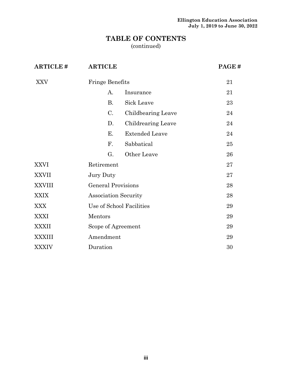# **TABLE OF CONTENTS**

(continued)

| <b>ARTICLE#</b> | <b>ARTICLE</b>              |                          | PAGE# |
|-----------------|-----------------------------|--------------------------|-------|
| XXV             | <b>Fringe Benefits</b>      |                          | 21    |
|                 | A.                          | Insurance                | 21    |
|                 | <b>B.</b>                   | Sick Leave               | 23    |
|                 | C.                          | Childbearing Leave       | 24    |
|                 | D.                          | Childrearing Leave       | 24    |
|                 | Е.                          | <b>Extended Leave</b>    | 24    |
|                 | F.                          | Sabbatical               | 25    |
|                 | G.                          | Other Leave              | 26    |
| <b>XXVI</b>     | Retirement                  |                          | 27    |
| <b>XXVII</b>    | Jury Duty                   |                          | 27    |
| <b>XXVIII</b>   | <b>General Provisions</b>   |                          | 28    |
| <b>XXIX</b>     | <b>Association Security</b> |                          | 28    |
| <b>XXX</b>      |                             | Use of School Facilities | 29    |
| XXXI            | Mentors                     |                          | 29    |
| <b>XXXII</b>    | Scope of Agreement          |                          | 29    |
| <b>XXXIII</b>   | Amendment                   |                          | 29    |
| <b>XXXIV</b>    | Duration                    |                          | 30    |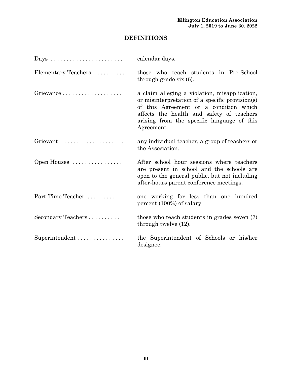# **DEFINITIONS**

|                     | calendar days.                                                                                                                                                                                                                                      |  |  |  |  |
|---------------------|-----------------------------------------------------------------------------------------------------------------------------------------------------------------------------------------------------------------------------------------------------|--|--|--|--|
| Elementary Teachers | those who teach students in Pre-School<br>through grade $s$ ix $(6)$ .                                                                                                                                                                              |  |  |  |  |
|                     | a claim alleging a violation, misapplication,<br>or misinterpretation of a specific provision(s)<br>of this Agreement or a condition which<br>affects the health and safety of teachers<br>arising from the specific language of this<br>Agreement. |  |  |  |  |
| Grievant            | any individual teacher, a group of teachers or<br>the Association.                                                                                                                                                                                  |  |  |  |  |
| Open Houses         | After school hour sessions where teachers<br>are present in school and the schools are<br>open to the general public, but not including<br>after-hours parent conference meetings.                                                                  |  |  |  |  |
| Part-Time Teacher   | one working for less than one hundred<br>percent (100%) of salary.                                                                                                                                                                                  |  |  |  |  |
| Secondary Teachers  | those who teach students in grades seven (7)<br>through twelve $(12)$ .                                                                                                                                                                             |  |  |  |  |
| Superintendent      | the Superintendent of Schools or his/her<br>designee.                                                                                                                                                                                               |  |  |  |  |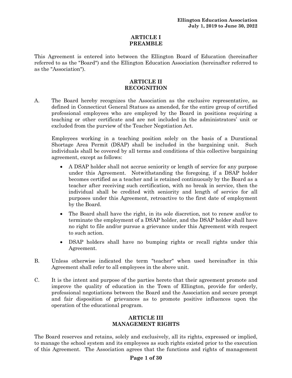#### **ARTICLE I PREAMBLE**

This Agreement is entered into between the Ellington Board of Education (hereinafter referred to as the "Board") and the Ellington Education Association (hereinafter referred to as the "Association").

### **ARTICLE II RECOGNITION**

A. The Board hereby recognizes the Association as the exclusive representative, as defined in Connecticut General Statues as amended, for the entire group of certified professional employees who are employed by the Board in positions requiring a teaching or other certificate and are not included in the administrators' unit or excluded from the purview of the Teacher Negotiation Act.

Employees working in a teaching position solely on the basis of a Durational Shortage Area Permit (DSAP) shall be included in the bargaining unit. Such individuals shall be covered by all terms and conditions of this collective bargaining agreement, except as follows:

- A DSAP holder shall not accrue seniority or length of service for any purpose under this Agreement. Notwithstanding the foregoing, if a DSAP holder becomes certified as a teacher and is retained continuously by the Board as a teacher after receiving such certification, with no break in service, then the individual shall be credited with seniority and length of service for all purposes under this Agreement, retroactive to the first date of employment by the Board.
- The Board shall have the right, in its sole discretion, not to renew and/or to terminate the employment of a DSAP holder, and the DSAP holder shall have no right to file and/or pursue a grievance under this Agreement with respect to such action.
- DSAP holders shall have no bumping rights or recall rights under this Agreement.
- B. Unless otherwise indicated the term "teacher" when used hereinafter in this Agreement shall refer to all employees in the above unit.
- C. It is the intent and purpose of the parties hereto that their agreement promote and improve the quality of education in the Town of Ellington, provide for orderly, professional negotiations between the Board and the Association and secure prompt and fair disposition of grievances as to promote positive influences upon the operation of the educational program.

# **ARTICLE III MANAGEMENT RIGHTS**

The Board reserves and retains, solely and exclusively, all its rights, expressed or implied, to manage the school system and its employees as such rights existed prior to the execution of this Agreement. The Association agrees that the functions and rights of management

### **Page 1 of 30**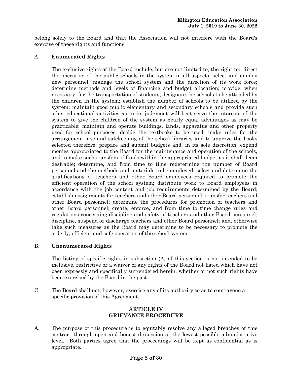belong solely to the Board and that the Association will not interfere with the Board's exercise of these rights and functions.

#### A. **Enumerated Rights**

The exclusive rights of the Board include, but are not limited to, the right to: direct the operation of the public schools in the system in all aspects; select and employ new personnel, manage the school system and the direction of its work force; determine methods and levels of financing and budget allocation; provide, when necessary, for the transportation of students; designate the schools to be attended by the children in the system; establish the number of schools to be utilized by the system; maintain good public elementary and secondary schools and provide such other educational activities as in its judgment will best serve the interests of the system to give the children of the system as nearly equal advantages as may be practicable; maintain and operate buildings, lands, apparatus and other property used for school purposes; decide the textbooks to be used; make rules for the arrangement, use and safekeeping of the school libraries and to approve the books selected therefore; prepare and submit budgets and, in its sole discretion, expend monies appropriated to the Board for the maintenance and operation of the schools, and to make such transfers of funds within the appropriated budget as it shall deem desirable; determine, and from time to time redetermine the number of Board personnel and the methods and materials to be employed; select and determine the qualifications of teachers and other Board employees required to promote the efficient operation of the school system; distribute work to Board employees in accordance with the job content and job requirements determined by the Board; establish assignments for teachers and other Board personnel; transfer teachers and other Board personnel; determine the procedures for promotion of teachers and other Board personnel; create, enforce, and from time to time change rules and regulations concerning discipline and safety of teachers and other Board personnel; discipline, suspend or discharge teachers and other Board personnel; and, otherwise take such measures as the Board may determine to be necessary to promote the orderly, efficient and safe operation of the school system.

#### B. **Unenumerated Rights**

The listing of specific rights in subsection (A) of this section is not intended to be inclusive, restrictive or a waiver of any rights of the Board not listed which have not been expressly and specifically surrendered herein, whether or not such rights have been exercised by the Board in the past.

C. The Board shall not, however, exercise any of its authority so as to contravene a specific provision of this Agreement.

#### **ARTICLE IV GRIEVANCE PROCEDURE**

A. The purpose of this procedure is to equitably resolve any alleged breaches of this contract through open and honest discussion at the lowest possible administrative level. Both parties agree that the proceedings will be kept as confidential as is appropriate.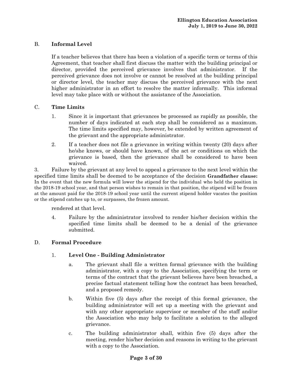# B. **Informal Level**

If a teacher believes that there has been a violation of a specific term or terms of this Agreement, that teacher shall first discuss the matter with the building principal or director, provided the perceived grievance involves that administrator. If the perceived grievance does not involve or cannot be resolved at the building principal or director level, the teacher may discuss the perceived grievance with the next higher administrator in an effort to resolve the matter informally. This informal level may take place with or without the assistance of the Association.

#### C. **Time Limits**

- 1. Since it is important that grievances be processed as rapidly as possible, the number of days indicated at each step shall be considered as a maximum. The time limits specified may, however, be extended by written agreement of the grievant and the appropriate administrator.
- 2. If a teacher does not file a grievance in writing within twenty (20) days after he/she knows, or should have known, of the act or conditions on which the grievance is based, then the grievance shall be considered to have been waived.

3. Failure by the grievant at any level to appeal a grievance to the next level within the specified time limits shall be deemed to be acceptance of the decision **Grandfather clause:** In the event that the new formula will lower the stipend for the individual who held the position in the 2018-19 school year, and that person wishes to remain in that position, the stipend will be frozen at the amount paid for the 2018-19 school year until the current stipend holder vacates the position or the stipend catches up to, or surpasses, the frozen amount.

rendered at that level.

4. Failure by the administrator involved to render his/her decision within the specified time limits shall be deemed to be a denial of the grievance submitted.

### D. **Formal Procedure**

### 1. **Level One - Building Administrator**

- a. The grievant shall file a written formal grievance with the building administrator, with a copy to the Association, specifying the term or terms of the contract that the grievant believes have been breached, a precise factual statement telling how the contract has been breached, and a proposed remedy.
- b. Within five (5) days after the receipt of this formal grievance, the building administrator will set up a meeting with the grievant and with any other appropriate supervisor or member of the staff and/or the Association who may help to facilitate a solution to the alleged grievance.
- c. The building administrator shall, within five (5) days after the meeting, render his/her decision and reasons in writing to the grievant with a copy to the Association.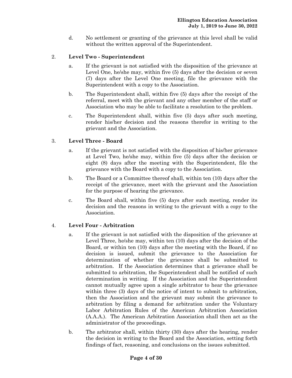d. No settlement or granting of the grievance at this level shall be valid without the written approval of the Superintendent.

# 2. **Level Two - Superintendent**

- a. If the grievant is not satisfied with the disposition of the grievance at Level One, he/she may, within five (5) days after the decision or seven (7) days after the Level One meeting, file the grievance with the Superintendent with a copy to the Association.
- b. The Superintendent shall, within five (5) days after the receipt of the referral, meet with the grievant and any other member of the staff or Association who may be able to facilitate a resolution to the problem.
- c. The Superintendent shall, within five (5) days after such meeting, render his/her decision and the reasons therefor in writing to the grievant and the Association.

# 3. **Level Three - Board**

- a. If the grievant is not satisfied with the disposition of his/her grievance at Level Two, he/she may, within five (5) days after the decision or eight (8) days after the meeting with the Superintendent, file the grievance with the Board with a copy to the Association.
- b. The Board or a Committee thereof shall, within ten (10) days after the receipt of the grievance, meet with the grievant and the Association for the purpose of hearing the grievance.
- c. The Board shall, within five (5) days after such meeting, render its decision and the reasons in writing to the grievant with a copy to the Association.

# 4. **Level Four - Arbitration**

- a. If the grievant is not satisfied with the disposition of the grievance at Level Three, he/she may, within ten (10) days after the decision of the Board, or within ten (10) days after the meeting with the Board, if no decision is issued, submit the grievance to the Association for determination of whether the grievance shall be submitted to arbitration. If the Association determines that a grievance shall be submitted to arbitration, the Superintendent shall be notified of such determination in writing. If the Association and the Superintendent cannot mutually agree upon a single arbitrator to hear the grievance within three (3) days of the notice of intent to submit to arbitration, then the Association and the grievant may submit the grievance to arbitration by filing a demand for arbitration under the Voluntary Labor Arbitration Rules of the American Arbitration Association (A.A.A.). The American Arbitration Association shall then act as the administrator of the proceedings.
- b. The arbitrator shall, within thirty (30) days after the hearing, render the decision in writing to the Board and the Association, setting forth findings of fact, reasoning, and conclusions on the issues submitted.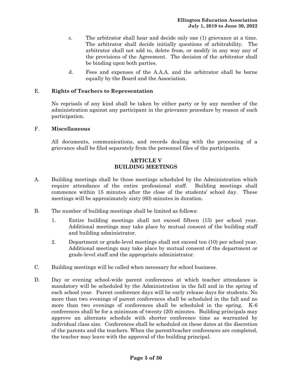- c. The arbitrator shall hear and decide only one (1) grievance at a time. The arbitrator shall decide initially questions of arbitrability. The arbitrator shall not add to, delete from, or modify in any way any of the provisions of the Agreement. The decision of the arbitrator shall be binding upon both parties.
- d. Fees and expenses of the A.A.A. and the arbitrator shall be borne equally by the Board and the Association.

#### E. **Rights of Teachers to Representation**

No reprisals of any kind shall be taken by either party or by any member of the administration against any participant in the grievance procedure by reason of such participation.

#### F. **Miscellaneous**

All documents, communications, and records dealing with the processing of a grievance shall be filed separately from the personnel files of the participants.

## **ARTICLE V BUILDING MEETINGS**

- A. Building meetings shall be those meetings scheduled by the Administration which require attendance of the entire professional staff. Building meetings shall commence within 15 minutes after the close of the students' school day. These meetings will be approximately sixty (60) minutes in duration.
- B. The number of building meetings shall be limited as follows:
	- 1. Entire building meetings shall not exceed fifteen (15) per school year. Additional meetings may take place by mutual consent of the building staff and building administrator.
	- 2. Department or grade-level meetings shall not exceed ten (10) per school year. Additional meetings may take place by mutual consent of the department or grade-level staff and the appropriate administrator.
- C. Building meetings will be called when necessary for school business.
- D. Day or evening school-wide parent conferences at which teacher attendance is mandatory will be scheduled by the Administration in the fall and in the spring of each school year. Parent conference days will be early release days for students. No more than two evenings of parent conferences shall be scheduled in the fall and no more than two evenings of conferences shall be scheduled in the spring. K-6 conferences shall be for a minimum of twenty (20) minutes. Building principals may approve an alternate schedule with shorter conference time as warranted by individual class size. Conferences shall be scheduled on these dates at the discretion of the parents and the teachers. When the parent/teacher conferences are completed, the teacher may leave with the approval of the building principal.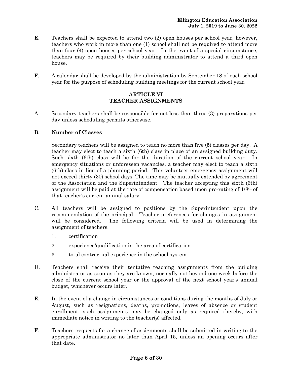- E. Teachers shall be expected to attend two (2) open houses per school year, however, teachers who work in more than one (1) school shall not be required to attend more than four (4) open houses per school year. In the event of a special circumstance, teachers may be required by their building administrator to attend a third open house.
- F. A calendar shall be developed by the administration by September 18 of each school year for the purpose of scheduling building meetings for the current school year.

#### **ARTICLE VI TEACHER ASSIGNMENTS**

A. Secondary teachers shall be responsible for not less than three (3) preparations per day unless scheduling permits otherwise.

#### B. **Number of Classes**

Secondary teachers will be assigned to teach no more than five (5) classes per day. A teacher may elect to teach a sixth (6th) class in place of an assigned building duty. Such sixth (6th) class will be for the duration of the current school year. In emergency situations or unforeseen vacancies, a teacher may elect to teach a sixth (6th) class in lieu of a planning period. This volunteer emergency assignment will not exceed thirty (30) school days: The time may be mutually extended by agreement of the Association and the Superintendent. The teacher accepting this sixth (6th) assignment will be paid at the rate of compensation based upon pro-rating of 1/8th of that teacher's current annual salary.

- C. All teachers will be assigned to positions by the Superintendent upon the recommendation of the principal. Teacher preferences for changes in assignment will be considered. The following criteria will be used in determining the assignment of teachers.
	- 1. certification
	- 2. experience/qualification in the area of certification
	- 3. total contractual experience in the school system
- D. Teachers shall receive their tentative teaching assignments from the building administrator as soon as they are known, normally not beyond one week before the close of the current school year or the approval of the next school year's annual budget, whichever occurs later.
- E. In the event of a change in circumstances or conditions during the months of July or August, such as resignations, deaths, promotions, leaves of absence or student enrollment, such assignments may be changed only as required thereby, with immediate notice in writing to the teacher(s) affected.
- F. Teachers' requests for a change of assignments shall be submitted in writing to the appropriate administrator no later than April 15, unless an opening occurs after that date.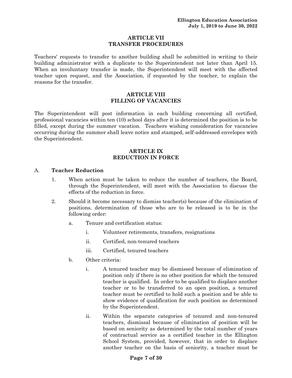#### **ARTICLE VII TRANSFER PROCEDURES**

Teachers' requests to transfer to another building shall be submitted in writing to their building administrator with a duplicate to the Superintendent not later than April 15. When an involuntary transfer is made, the Superintendent will meet with the affected teacher upon request, and the Association, if requested by the teacher, to explain the reasons for the transfer.

#### **ARTICLE VIII FILLING OF VACANCIES**

The Superintendent will post information in each building concerning all certified, professional vacancies within ten (10) school days after it is determined the position is to be filled, except during the summer vacation. Teachers wishing consideration for vacancies occurring during the summer shall leave notice and stamped, self-addressed envelopes with the Superintendent.

#### **ARTICLE IX REDUCTION IN FORCE**

### A. **Teacher Reduction**

- 1. When action must be taken to reduce the number of teachers, the Board, through the Superintendent, will meet with the Association to discuss the effects of the reduction in force.
- 2. Should it become necessary to dismiss teacher(s) because of the elimination of positions, determination of those who are to be released is to be in the following order:
	- a. Tenure and certification status:
		- i. Volunteer retirements, transfers, resignations
		- ii. Certified, non-tenured teachers
		- iii. Certified, tenured teachers
	- b. Other criteria:
		- i. A tenured teacher may be dismissed because of elimination of position only if there is no other position for which the tenured teacher is qualified. In order to be qualified to displace another teacher or to be transferred to an open position, a tenured teacher must be certified to hold such a position and be able to show evidence of qualification for such position as determined by the Superintendent.
		- ii. Within the separate categories of tenured and non-tenured teachers, dismissal because of elimination of position will be based on seniority as determined by the total number of years of contractual service as a certified teacher in the Ellington School System, provided, however, that in order to displace another teacher on the basis of seniority, a teacher must be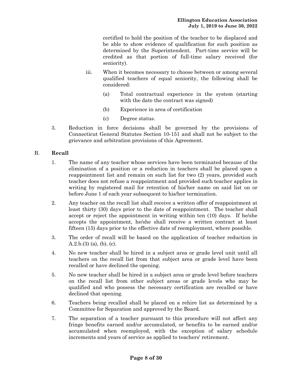certified to hold the position of the teacher to be displaced and be able to show evidence of qualification for such position as determined by the Superintendent. Part-time service will be credited as that portion of full-time salary received (for seniority).

- iii. When it becomes necessary to choose between or among several qualified teachers of equal seniority, the following shall be considered:
	- (a) Total contractual experience in the system (starting with the date the contract was signed)
	- (b) Experience in area of certification
	- (c) Degree status.
- 3. Reduction in force decisions shall be governed by the provisions of Connecticut General Statutes Section 10-151 and shall not be subject to the grievance and arbitration provisions of this Agreement.

### B. **Recall**

- 1. The name of any teacher whose services have been terminated because of the elimination of a position or a reduction in teachers shall be placed upon a reappointment list and remain on such list for two (2) years, provided such teacher does not refuse a reappointment and provided such teacher applies in writing by registered mail for retention of his/her name on said list on or before June 1 of each year subsequent to his/her termination.
- 2. Any teacher on the recall list shall receive a written offer of reappointment at least thirty (30) days prior to the date of reappointment. The teacher shall accept or reject the appointment in writing within ten (10) days. If he/she accepts the appointment, he/she shall receive a written contract at least fifteen (15) days prior to the effective date of reemployment, where possible.
- 3. The order of recall will be based on the application of teacher reduction in  $A.2.b.(3)$  (a), (b), (c).
- 4. No new teacher shall be hired in a subject area or grade level unit until all teachers on the recall list from that subject area or grade level have been recalled or have declined the opening.
- 5. No new teacher shall be hired in a subject area or grade level before teachers on the recall list from other subject areas or grade levels who may be qualified and who possess the necessary certification are recalled or have declined that opening.
- 6. Teachers being recalled shall be placed on a rehire list as determined by a Committee for Separation and approved by the Board.
- 7. The separation of a teacher pursuant to this procedure will not affect any fringe benefits earned and/or accumulated, or benefits to be earned and/or accumulated when reemployed, with the exception of salary schedule increments and years of service as applied to teachers' retirement.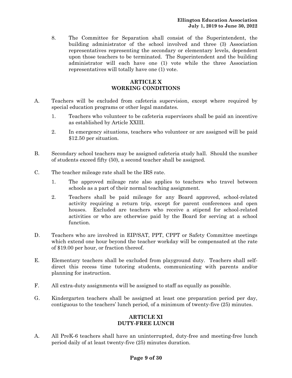8. The Committee for Separation shall consist of the Superintendent, the building administrator of the school involved and three (3) Association representatives representing the secondary or elementary levels, dependent upon those teachers to be terminated. The Superintendent and the building administrator will each have one (1) vote while the three Association representatives will totally have one (1) vote.

### **ARTICLE X WORKING CONDITIONS**

- A. Teachers will be excluded from cafeteria supervision, except where required by special education programs or other legal mandates.
	- 1. Teachers who volunteer to be cafeteria supervisors shall be paid an incentive as established by Article XXIII.
	- 2. In emergency situations, teachers who volunteer or are assigned will be paid \$12.50 per situation.
- B. Secondary school teachers may be assigned cafeteria study hall. Should the number of students exceed fifty (50), a second teacher shall be assigned.
- C. The teacher mileage rate shall be the IRS rate.
	- 1. The approved mileage rate also applies to teachers who travel between schools as a part of their normal teaching assignment.
	- 2. Teachers shall be paid mileage for any Board approved, school-related activity requiring a return trip, except for parent conferences and open houses. Excluded are teachers who receive a stipend for school-related activities or who are otherwise paid by the Board for serving at a school function.
- D. Teachers who are involved in EIP/SAT, PPT, CPPT or Safety Committee meetings which extend one hour beyond the teacher workday will be compensated at the rate of \$19.00 per hour, or fraction thereof.
- E. Elementary teachers shall be excluded from playground duty. Teachers shall selfdirect this recess time tutoring students, communicating with parents and/or planning for instruction.
- F. All extra-duty assignments will be assigned to staff as equally as possible.
- G. Kindergarten teachers shall be assigned at least one preparation period per day, contiguous to the teachers' lunch period, of a minimum of twenty-five (25) minutes.

# **ARTICLE XI DUTY-FREE LUNCH**

A. All PreK-6 teachers shall have an uninterrupted, duty-free and meeting-free lunch period daily of at least twenty-five (25) minutes duration.

### **Page 9 of 30**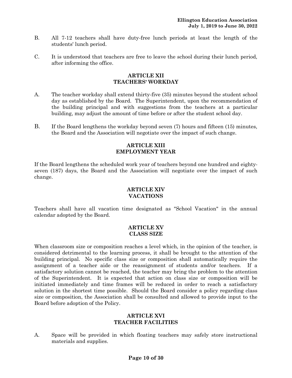- B. All 7-12 teachers shall have duty-free lunch periods at least the length of the students' lunch period.
- C. It is understood that teachers are free to leave the school during their lunch period, after informing the office.

#### **ARTICLE XII TEACHERS' WORKDAY**

- A. The teacher workday shall extend thirty-five (35) minutes beyond the student school day as established by the Board. The Superintendent, upon the recommendation of the building principal and with suggestions from the teachers at a particular building, may adjust the amount of time before or after the student school day.
- B. If the Board lengthens the workday beyond seven (7) hours and fifteen (15) minutes, the Board and the Association will negotiate over the impact of such change.

#### **ARTICLE XIII EMPLOYMENT YEAR**

If the Board lengthens the scheduled work year of teachers beyond one hundred and eightyseven (187) days, the Board and the Association will negotiate over the impact of such change.

#### **ARTICLE XIV VACATIONS**

Teachers shall have all vacation time designated as "School Vacation" in the annual calendar adopted by the Board.

#### **ARTICLE XV CLASS SIZE**

When classroom size or composition reaches a level which, in the opinion of the teacher, is considered detrimental to the learning process, it shall be brought to the attention of the building principal. No specific class size or composition shall automatically require the assignment of a teacher aide or the reassignment of students and/or teachers. If a satisfactory solution cannot be reached, the teacher may bring the problem to the attention of the Superintendent. It is expected that action on class size or composition will be initiated immediately and time frames will be reduced in order to reach a satisfactory solution in the shortest time possible. Should the Board consider a policy regarding class size or composition, the Association shall be consulted and allowed to provide input to the Board before adoption of the Policy.

#### **ARTICLE XVI TEACHER FACILITIES**

A. Space will be provided in which floating teachers may safely store instructional materials and supplies.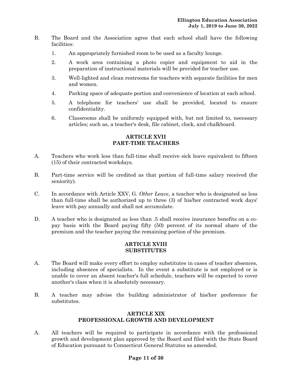- B. The Board and the Association agree that each school shall have the following facilities:
	- 1. An appropriately furnished room to be used as a faculty lounge.
	- 2. A work area containing a photo copier and equipment to aid in the preparation of instructional materials will be provided for teacher use.
	- 3. Well-lighted and clean restrooms for teachers with separate facilities for men and women.
	- 4. Parking space of adequate portion and convenience of location at each school.
	- 5. A telephone for teachers' use shall be provided, located to ensure confidentiality.
	- 6. Classrooms shall be uniformly equipped with, but not limited to, necessary articles; such as, a teacher's desk, file cabinet, clock, and chalkboard.

#### **ARTICLE XVII PART-TIME TEACHERS**

- A. Teachers who work less than full-time shall receive sick leave equivalent to fifteen (15) of their contracted workdays.
- B. Part-time service will be credited as that portion of full-time salary received (for seniority).
- C. In accordance with Article XXV, G. *Other Leave*, a teacher who is designated as less than full-time shall be authorized up to three (3) of his/her contracted work days' leave with pay annually and shall not accumulate.
- D. A teacher who is designated as less than .5 shall receive insurance benefits on a copay basis with the Board paying fifty (50) percent of its normal share of the premium and the teacher paying the remaining portion of the premium.

#### **ARTICLE XVIII SUBSTITUTES**

- A. The Board will make every effort to employ substitutes in cases of teacher absences, including absences of specialists. In the event a substitute is not employed or is unable to cover an absent teacher's full schedule, teachers will be expected to cover another's class when it is absolutely necessary.
- B. A teacher may advise the building administrator of his/her preference for substitutes.

#### **ARTICLE XIX PROFESSIONAL GROWTH AND DEVELOPMENT**

A. All teachers will be required to participate in accordance with the professional growth and development plan approved by the Board and filed with the State Board of Education pursuant to Connecticut General Statutes as amended.

### **Page 11 of 30**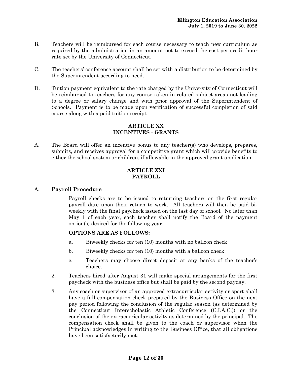- B. Teachers will be reimbursed for each course necessary to teach new curriculum as required by the administration in an amount not to exceed the cost per credit hour rate set by the University of Connecticut.
- C. The teachers' conference account shall be set with a distribution to be determined by the Superintendent according to need.
- D. Tuition payment equivalent to the rate charged by the University of Connecticut will be reimbursed to teachers for any course taken in related subject areas not leading to a degree or salary change and with prior approval of the Superintendent of Schools. Payment is to be made upon verification of successful completion of said course along with a paid tuition receipt.

# **ARTICLE XX INCENTIVES - GRANTS**

A. The Board will offer an incentive bonus to any teacher(s) who develops, prepares, submits, and receives approval for a competitive grant which will provide benefits to either the school system or children, if allowable in the approved grant application.

### **ARTICLE XXI PAYROLL**

### A. **Payroll Procedure**

1. Payroll checks are to be issued to returning teachers on the first regular payroll date upon their return to work. All teachers will then be paid biweekly with the final paycheck issued on the last day of school. No later than May 1 of each year, each teacher shall notify the Board of the payment option(s) desired for the following year.

### **OPTIONS ARE AS FOLLOWS:**

- a. Biweekly checks for ten (10) months with no balloon check
- b. Biweekly checks for ten (10) months with a balloon check
- c. Teachers may choose direct deposit at any banks of the teacher's choice.
- 2. Teachers hired after August 31 will make special arrangements for the first paycheck with the business office but shall be paid by the second payday.
- 3. Any coach or supervisor of an approved extracurricular activity or sport shall have a full compensation check prepared by the Business Office on the next pay period following the conclusion of the regular season (as determined by the Connecticut Interscholastic Athletic Conference (C.I.A.C.)) or the conclusion of the extracurricular activity as determined by the principal. The compensation check shall be given to the coach or supervisor when the Principal acknowledges in writing to the Business Office, that all obligations have been satisfactorily met.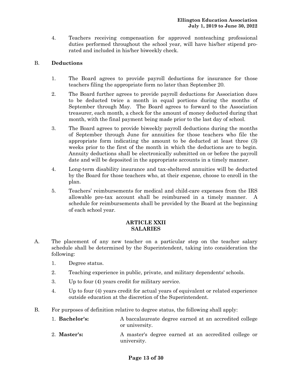4. Teachers receiving compensation for approved nonteaching professional duties performed throughout the school year, will have his/her stipend prorated and included in his/her biweekly check.

# B. **Deductions**

- 1. The Board agrees to provide payroll deductions for insurance for those teachers filing the appropriate form no later than September 20.
- 2. The Board further agrees to provide payroll deductions for Association dues to be deducted twice a month in equal portions during the months of September through May. The Board agrees to forward to the Association treasurer, each month, a check for the amount of money deducted during that month, with the final payment being made prior to the last day of school.
- 3. The Board agrees to provide biweekly payroll deductions during the months of September through June for annuities for those teachers who file the appropriate form indicating the amount to be deducted at least three (3) weeks prior to the first of the month in which the deductions are to begin. Annuity deductions shall be electronically submitted on or before the payroll date and will be deposited in the appropriate accounts in a timely manner.
- 4. Long-term disability insurance and tax-sheltered annuities will be deducted by the Board for those teachers who, at their expense, choose to enroll in the plan.
- 5. Teachers' reimbursements for medical and child-care expenses from the IRS allowable pre-tax account shall be reimbursed in a timely manner. A schedule for reimbursements shall be provided by the Board at the beginning of each school year.

#### **ARTICLE XXII SALARIES**

- A. The placement of any new teacher on a particular step on the teacher salary schedule shall be determined by the Superintendent, taking into consideration the following:
	- 1. Degree status.
	- 2. Teaching experience in public, private, and military dependents' schools.
	- 3. Up to four (4) years credit for military service.
	- 4. Up to four (4) years credit for actual years of equivalent or related experience outside education at the discretion of the Superintendent.
- B. For purposes of definition relative to degree status, the following shall apply:

| 1. Bachelor's: | A baccalaureate degree earned at an accredited college |
|----------------|--------------------------------------------------------|
|                | or university.                                         |
| $2$ Master's.  | A master's degree earned at an accredited college or   |

2. **Master's:** A master's degree earned at an accredited college or university.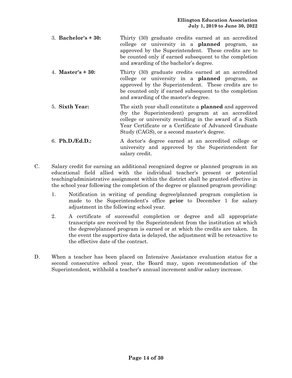- 3. **Bachelor's + 30:** Thirty (30) graduate credits earned at an accredited college or university in a **planned** program, as approved by the Superintendent. These credits are to be counted only if earned subsequent to the completion and awarding of the bachelor's degree.
- 4. **Master's + 30:** Thirty (30) graduate credits earned at an accredited college or university in a **planned** program, as approved by the Superintendent. These credits are to be counted only if earned subsequent to the completion and awarding of the master's degree.
- 5. **Sixth Year:** The sixth year shall constitute a **planned** and approved (by the Superintendent) program at an accredited college or university resulting in the award of a Sixth Year Certificate or a Certificate of Advanced Graduate Study (CAGS), or a second master's degree.
- 6. **Ph.D./Ed.D.:** A doctor's degree earned at an accredited college or university and approved by the Superintendent for salary credit.
- C. Salary credit for earning an additional recognized degree or planned program in an educational field allied with the individual teacher's present or potential teaching/administrative assignment within the district shall be granted effective in the school year following the completion of the degree or planned program providing:
	- 1. Notification in writing of pending degree/planned program completion is made to the Superintendent's office **prior** to December 1 for salary adjustment in the following school year.
	- 2. A certificate of successful completion or degree and all appropriate transcripts are received by the Superintendent from the institution at which the degree/planned program is earned or at which the credits are taken. In the event the supportive data is delayed, the adjustment will be retroactive to the effective date of the contract.
- D. When a teacher has been placed on Intensive Assistance evaluation status for a second consecutive school year, the Board may, upon recommendation of the Superintendent, withhold a teacher's annual increment and/or salary increase.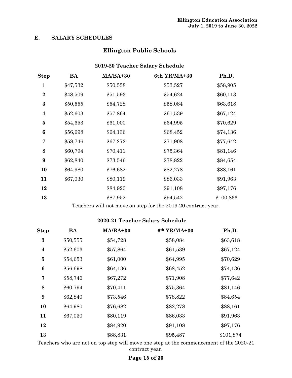# **E. SALARY SCHEDULES**

# **Ellington Public Schools**

# **2019-20 Teacher Salary Schedule**

| ${\bf Step}$     | BA       | MA/BA+30 | 6th YR/MA+30 | Ph.D.     |
|------------------|----------|----------|--------------|-----------|
| 1                | \$47,532 | \$50,558 | \$53,527     | \$58,905  |
| $\bf{2}$         | \$48,509 | \$51,593 | \$54,624     | \$60,113  |
| $\bf{3}$         | \$50,555 | \$54,728 | \$58,084     | \$63,618  |
| $\boldsymbol{4}$ | \$52,603 | \$57,864 | \$61,539     | \$67,124  |
| $\bf{5}$         | \$54,653 | \$61,000 | \$64,995     | \$70,629  |
| $\boldsymbol{6}$ | \$56,698 | \$64,136 | \$68,452     | \$74,136  |
| 7                | \$58,746 | \$67,272 | \$71,908     | \$77,642  |
| 8                | \$60,794 | \$70,411 | \$75,364     | \$81,146  |
| 9                | \$62,840 | \$73,546 | \$78,822     | \$84,654  |
| 10               | \$64,980 | \$76,682 | \$82,278     | \$88,161  |
| 11               | \$67,030 | \$80,119 | \$86,033     | \$91,963  |
| 12               |          | \$84,920 | \$91,108     | \$97,176  |
| 13               |          | \$87,952 | \$94,542     | \$100,866 |

Teachers will not move on step for the 2019-20 contract year.

# **2020-21 Teacher Salary Schedule**

| <b>Step</b>      | BA       | MA/BA+30 | 6th YR/MA+30 | Ph.D.     |
|------------------|----------|----------|--------------|-----------|
| $\bf{3}$         | \$50,555 | \$54,728 | \$58,084     | \$63,618  |
| $\boldsymbol{4}$ | \$52,603 | \$57,864 | \$61,539     | \$67,124  |
| $\bf{5}$         | \$54,653 | \$61,000 | \$64,995     | \$70,629  |
| 6                | \$56,698 | \$64,136 | \$68,452     | \$74,136  |
| 7                | \$58,746 | \$67,272 | \$71,908     | \$77,642  |
| 8                | \$60,794 | \$70,411 | \$75,364     | \$81,146  |
| 9                | \$62,840 | \$73,546 | \$78,822     | \$84,654  |
| 10               | \$64,980 | \$76,682 | \$82,278     | \$88,161  |
| 11               | \$67,030 | \$80,119 | \$86,033     | \$91,963  |
| 12               |          | \$84,920 | \$91,108     | \$97,176  |
| 13               |          | \$88,831 | \$95,487     | \$101,874 |

Teachers who are not on top step will move one step at the commencement of the 2020-21 contract year.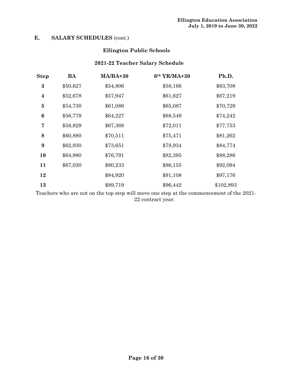# **E. SALARY SCHEDULES** (cont.)

# **Ellington Public Schools**

# **2021-22 Teacher Salary Schedule**

| ${\bf Step}$     | <b>BA</b> | MA/BA+30 | 6th YR/MA+30 | Ph.D.     |
|------------------|-----------|----------|--------------|-----------|
| $\bf{3}$         | \$50,627  | \$54,806 | \$58,166     | \$63,708  |
| $\boldsymbol{4}$ | \$52,678  | \$57,947 | \$61,627     | \$67,219  |
| $\bf{5}$         | \$54,730  | \$61,086 | \$65,087     | \$70,729  |
| 6                | \$56,779  | \$64,227 | \$68,549     | \$74,242  |
| 7                | \$58,829  | \$67,368 | \$72,011     | \$77,753  |
| 8                | \$60,880  | \$70,511 | \$75,471     | \$81,262  |
| 9                | \$62,930  | \$73,651 | \$78,934     | \$84,774  |
| 10               | \$64,980  | \$76,791 | \$82,395     | \$88,286  |
| 11               | \$67,030  | \$80,233 | \$86,155     | \$92,094  |
| 12               |           | \$84,920 | \$91,108     | \$97,176  |
| 13               |           | \$89,719 | \$96,442     | \$102,893 |

Teachers who are not on the top step will move one step at the commencement of the 2021- 22 contract year.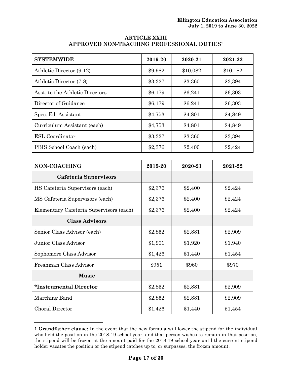| <b>ARTICLE XXIII</b>                                   |
|--------------------------------------------------------|
| APPROVED NON-TEACHING PROFESSIONAL DUTIES <sup>1</sup> |

| <b>SYSTEMWIDE</b>                       | 2019-20 | 2020-21  | 2021-22  |
|-----------------------------------------|---------|----------|----------|
| Athletic Director (9-12)                | \$9,982 | \$10,082 | \$10,182 |
| Athletic Director (7-8)                 | \$3,327 | \$3,360  | \$3,394  |
| Asst. to the Athletic Directors         | \$6,179 | \$6,241  | \$6,303  |
| Director of Guidance                    | \$6,179 | \$6,241  | \$6,303  |
| Spec. Ed. Assistant                     | \$4,753 | \$4,801  | \$4,849  |
| Curriculum Assistant (each)             | \$4,753 | \$4,801  | \$4,849  |
| <b>ESL</b> Coordinator                  | \$3,327 | \$3,360  | \$3,394  |
| PBIS School Coach (each)                | \$2,376 | \$2,400  | \$2,424  |
|                                         |         |          |          |
| NON-COACHING                            | 2019-20 | 2020-21  | 2021-22  |
| Cafeteria Supervisors                   |         |          |          |
| HS Cafeteria Supervisors (each)         | \$2,376 | \$2,400  | \$2,424  |
| MS Cafeteria Supervisors (each)         | \$2,376 | \$2,400  | \$2,424  |
| Elementary Cafeteria Supervisors (each) | \$2,376 | \$2,400  | \$2,424  |
| <b>Class Advisors</b>                   |         |          |          |
| Senior Class Advisor (each)             | \$2,852 | \$2,881  | \$2,909  |
| Junior Class Advisor                    | \$1,901 | \$1,920  | \$1,940  |
| Sophomore Class Advisor                 | \$1,426 | \$1,440  | \$1,454  |
| Freshman Class Advisor                  | \$951   | \$960    | \$970    |
| <b>Music</b>                            |         |          |          |
| *Instrumental Director                  | \$2,852 | \$2,881  | \$2,909  |
| Marching Band                           | \$2,852 | \$2,881  | \$2,909  |
| Choral Director                         | \$1,426 | \$1,440  | \$1,454  |

<sup>1</sup> **Grandfather clause:** In the event that the new formula will lower the stipend for the individual who held the position in the 2018-19 school year, and that person wishes to remain in that position, the stipend will be frozen at the amount paid for the 2018-19 school year until the current stipend holder vacates the position or the stipend catches up to, or surpasses, the frozen amount.

<u>.</u>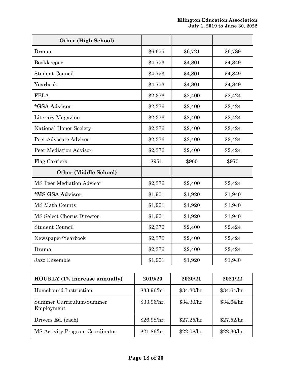| <b>Other (High School)</b>       |         |         |         |
|----------------------------------|---------|---------|---------|
| Drama                            | \$6,655 | \$6,721 | \$6,789 |
| Bookkeeper                       | \$4,753 | \$4,801 | \$4,849 |
| <b>Student Council</b>           | \$4,753 | \$4,801 | \$4,849 |
| Yearbook                         | \$4,753 | \$4,801 | \$4,849 |
| <b>FBLA</b>                      | \$2,376 | \$2,400 | \$2,424 |
| *GSA Advisor                     | \$2,376 | \$2,400 | \$2,424 |
| Literary Magazine                | \$2,376 | \$2,400 | \$2,424 |
| National Honor Society           | \$2,376 | \$2,400 | \$2,424 |
| Peer Advocate Advisor            | \$2,376 | \$2,400 | \$2,424 |
| Peer Mediation Advisor           | \$2,376 | \$2,400 | \$2,424 |
| Flag Carriers                    | \$951   | \$960   | \$970   |
| <b>Other (Middle School)</b>     |         |         |         |
| <b>MS Peer Mediation Advisor</b> | \$2,376 | \$2,400 | \$2,424 |
| *MS GSA Advisor                  | \$1,901 | \$1,920 | \$1,940 |
| <b>MS Math Counts</b>            | \$1,901 | \$1,920 | \$1,940 |
| MS Select Chorus Director        | \$1,901 | \$1,920 | \$1,940 |
| <b>Student Council</b>           | \$2,376 | \$2,400 | \$2,424 |
| Newspaper/Yearbook               | \$2,376 | \$2,400 | \$2,424 |
| Drama                            | \$2,376 | \$2,400 | \$2,424 |
| Jazz Ensemble                    | \$1,901 | \$1,920 | \$1,940 |

| <b>HOURLY</b> (1% increase annually)   | 2019/20     | 2020/21     | 2021/22     |
|----------------------------------------|-------------|-------------|-------------|
| Homebound Instruction                  | \$33.96/hr. | \$34.30/hr. | \$34.64/hr. |
| Summer Curriculum/Summer<br>Employment | \$33.96/hr. | \$34.30/hr. | \$34.64/hr. |
| Drivers Ed. (each)                     | \$26.98/hr. | \$27.25/hr. | \$27.52/hr. |
| MS Activity Program Coordinator        | \$21.86/hr. | \$22.08/hr. | \$22.30/hr. |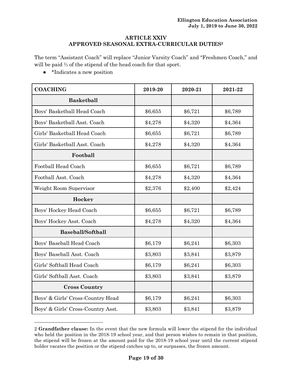#### **ARTICLE XXIV APPROVED SEASONAL EXTRA-CURRICULAR DUTIES<sup>2</sup>**

The term "Assistant Coach" will replace "Junior Varsity Coach" and "Freshmen Coach," and will be paid ⅔ of the stipend of the head coach for that sport.

● \*Indicates a new position

<u>.</u>

| <b>COACHING</b>                    | 2019-20 | 2020-21 | 2021-22 |
|------------------------------------|---------|---------|---------|
| <b>Basketball</b>                  |         |         |         |
| Boys' Basketball Head Coach        | \$6,655 | \$6,721 | \$6,789 |
| Boys' Basketball Asst. Coach       | \$4,278 | \$4,320 | \$4,364 |
| Girls' Basketball Head Coach       | \$6,655 | \$6,721 | \$6,789 |
| Girls' Basketball Asst. Coach      | \$4,278 | \$4,320 | \$4,364 |
| Football                           |         |         |         |
| Football Head Coach                | \$6,655 | \$6,721 | \$6,789 |
| Football Asst. Coach               | \$4,278 | \$4,320 | \$4,364 |
| Weight Room Supervisor             | \$2,376 | \$2,400 | \$2,424 |
| Hockey                             |         |         |         |
| Boys' Hockey Head Coach            | \$6,655 | \$6,721 | \$6,789 |
| Boys' Hockey Asst. Coach           | \$4,278 | \$4,320 | \$4,364 |
| <b>Baseball/Softball</b>           |         |         |         |
| Boys' Baseball Head Coach          | \$6,179 | \$6,241 | \$6,303 |
| Boys' Baseball Asst. Coach         | \$3,803 | \$3,841 | \$3,879 |
| Girls' Softball Head Coach         | \$6,179 | \$6,241 | \$6,303 |
| Girls' Softball Asst. Coach        | \$3,803 | \$3,841 | \$3,879 |
| <b>Cross Country</b>               |         |         |         |
| Boys' & Girls' Cross-Country Head  | \$6,179 | \$6,241 | \$6,303 |
| Boys' & Girls' Cross-Country Asst. | \$3,803 | \$3,841 | \$3,879 |

<sup>2</sup> **Grandfather clause:** In the event that the new formula will lower the stipend for the individual who held the position in the 2018-19 school year, and that person wishes to remain in that position, the stipend will be frozen at the amount paid for the 2018-19 school year until the current stipend holder vacates the position or the stipend catches up to, or surpasses, the frozen amount.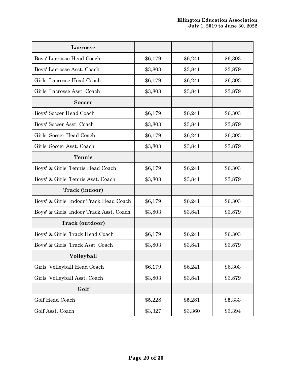| Lacrosse                                |         |         |         |
|-----------------------------------------|---------|---------|---------|
| Boys' Lacrosse Head Coach               | \$6,179 | \$6,241 | \$6,303 |
| Boys' Lacrosse Asst. Coach              | \$3,803 | \$3,841 | \$3,879 |
| Girls' Lacrosse Head Coach              | \$6,179 | \$6,241 | \$6,303 |
| Girls' Lacrosse Asst. Coach             | \$3,803 | \$3,841 | \$3,879 |
| <b>Soccer</b>                           |         |         |         |
| Boys' Soccer Head Coach                 | \$6,179 | \$6,241 | \$6,303 |
| Boys' Soccer Asst. Coach                | \$3,803 | \$3,841 | \$3,879 |
| Girls' Soccer Head Coach                | \$6,179 | \$6,241 | \$6,303 |
| Girls' Soccer Asst. Coach               | \$3,803 | \$3,841 | \$3,879 |
| <b>Tennis</b>                           |         |         |         |
| Boys' & Girls' Tennis Head Coach        | \$6,179 | \$6,241 | \$6,303 |
| Boys' & Girls' Tennis Asst. Coach       | \$3,803 | \$3,841 | \$3,879 |
| Track (indoor)                          |         |         |         |
| Boys' & Girls' Indoor Track Head Coach  | \$6,179 | \$6,241 | \$6,303 |
| Boys' & Girls' Indoor Track Asst. Coach | \$3,803 | \$3,841 | \$3,879 |
| <b>Track (outdoor)</b>                  |         |         |         |
| Boys' & Girls' Track Head Coach         | \$6,179 | \$6,241 | \$6,303 |
| Boys' & Girls' Track Asst. Coach        | \$3,803 | \$3,841 | \$3,879 |
| Volleyball                              |         |         |         |
| Girls' Volleyball Head Coach            | \$6,179 | \$6,241 | \$6,303 |
| Girls' Volleyball Asst. Coach           | \$3,803 | \$3,841 | \$3,879 |
| Golf                                    |         |         |         |
| Golf Head Coach                         | \$5,228 | \$5,281 | \$5,333 |
| Golf Asst. Coach                        | \$3,327 | \$3,360 | \$3,394 |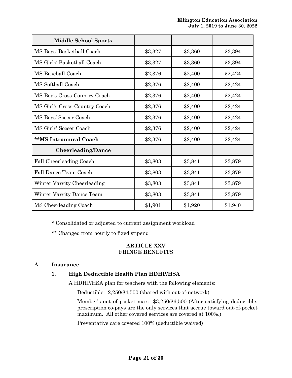| <b>Middle School Sports</b>   |         |         |         |
|-------------------------------|---------|---------|---------|
| MS Boys' Basketball Coach     | \$3,327 | \$3,360 | \$3,394 |
| MS Girls' Basketball Coach    | \$3,327 | \$3,360 | \$3,394 |
| MS Baseball Coach             | \$2,376 | \$2,400 | \$2,424 |
| MS Softball Coach             | \$2,376 | \$2,400 | \$2,424 |
| MS Boy's Cross-Country Coach  | \$2,376 | \$2,400 | \$2,424 |
| MS Girl's Cross-Country Coach | \$2,376 | \$2,400 | \$2,424 |
| MS Boys' Soccer Coach         | \$2,376 | \$2,400 | \$2,424 |
| MS Girls' Soccer Coach        | \$2,376 | \$2,400 | \$2,424 |
| **MS Intramural Coach         | \$2,376 | \$2,400 | \$2,424 |
| <b>Cheerleading/Dance</b>     |         |         |         |
| Fall Cheerleading Coach       | \$3,803 | \$3,841 | \$3,879 |
| Fall Dance Team Coach         | \$3,803 | \$3,841 | \$3,879 |
| Winter Varsity Cheerleading   | \$3,803 | \$3,841 | \$3,879 |
| Winter Varsity Dance Team     | \$3,803 | \$3,841 | \$3,879 |
| MS Cheerleading Coach         | \$1,901 | \$1,920 | \$1,940 |

\* Consolidated or adjusted to current assignment workload

\*\* Changed from hourly to fixed stipend

#### **ARTICLE XXV FRINGE BENEFITS**

# **A. Insurance**

# **1**. **High Deductible Health Plan HDHP/HSA**

A HDHP/HSA plan for teachers with the following elements:

Deductible: 2,250/\$4,500 (shared with out-of-network)

Member's out of pocket max: \$3,250/\$6,500 (After satisfying deductible, prescription co-pays are the only services that accrue toward out-of-pocket maximum. All other covered services are covered at 100%.)

Preventative care covered 100% (deductible waived)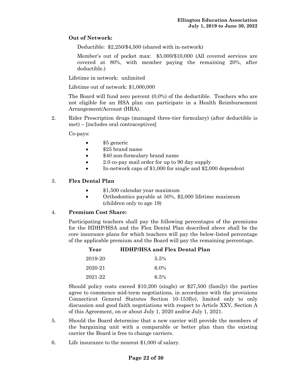# **Out of Network:**

Deductible: \$2,250/\$4,500 (shared with in-network)

Member's out of pocket max: \$5,000/\$10,000 (All covered services are covered at 80%, with member paying the remaining 20%, after deductible.)

Lifetime in network: unlimited

Lifetime out of network: \$1,000,000

The Board will fund zero percent (0.0%) of the deductible. Teachers who are not eligible for an HSA plan can participate in a Health Reimbursement Arrangement/Account (HRA).

2. Rider Prescription drugs (managed three-tier formulary) (after deductible is met) – [includes oral contraceptives]

Co-pays:

- \$5 generic
- \$25 brand name
- \$40 non-formulary brand name
- 2.0 co-pay mail order for up to 90 day supply
- In-network caps of \$1,000 for single and \$2,000 dependent

### 3. **Flex Dental Plan**

- \$1,500 calendar year maximum
- Orthodontics payable at 50%, \$2,000 lifetime maximum (children only to age 19)

#### 4. **Premium Cost Share:**

Participating teachers shall pay the following percentages of the premiums for the HDHP/HSA and the Flex Dental Plan described above shall be the core insurance plans for which teachers will pay the below-listed percentage of the applicable premium and the Board will pay the remaining percentage.

| Year    | <b>HDHP/HSA and Flex Dental Plan</b> |
|---------|--------------------------------------|
| 2019-20 | $5.5\%$                              |
| 2020-21 | 6.0%                                 |
| 2021-22 | 6.5%                                 |

Should policy costs exceed \$10,200 (single) or \$27,500 (family) the parties agree to commence mid-term negotiations, in accordance with the provisions Connecticut General Statutes Section 10-153f(e), limited only to only discussion and good faith negotiations with respect to Article XXV, Section A of this Agreement, on or about July 1, 2020 and/or July 1, 2021.

- 5. Should the Board determine that a new carrier will provide the members of the bargaining unit with a comparable or better plan than the existing carrier the Board is free to change carriers.
- 6. Life insurance to the nearest \$1,000 of salary.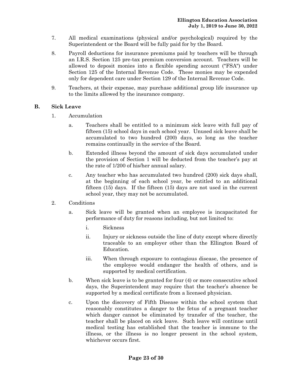- 7. All medical examinations (physical and/or psychological) required by the Superintendent or the Board will be fully paid for by the Board.
- 8. Payroll deductions for insurance premiums paid by teachers will be through an I.R.S. Section 125 pre-tax premium conversion account. Teachers will be allowed to deposit monies into a flexible spending account ("FSA") under Section 125 of the Internal Revenue Code. These monies may be expended only for dependent care under Section 129 of the Internal Revenue Code.
- 9. Teachers, at their expense, may purchase additional group life insurance up to the limits allowed by the insurance company.

#### **B. Sick Leave**

- 1. Accumulation
	- a. Teachers shall be entitled to a minimum sick leave with full pay of fifteen (15) school days in each school year. Unused sick leave shall be accumulated to two hundred (200) days, so long as the teacher remains continually in the service of the Board.
	- b. Extended illness beyond the amount of sick days accumulated under the provision of Section 1 will be deducted from the teacher's pay at the rate of 1/200 of his/her annual salary.
	- c. Any teacher who has accumulated two hundred (200) sick days shall, at the beginning of each school year, be entitled to an additional fifteen (15) days. If the fifteen (15) days are not used in the current school year, they may not be accumulated.
- 2. Conditions
	- a. Sick leave will be granted when an employee is incapacitated for performance of duty for reasons including, but not limited to:
		- i. Sickness
		- ii. Injury or sickness outside the line of duty except where directly traceable to an employer other than the Ellington Board of Education.
		- iii. When through exposure to contagious disease, the presence of the employee would endanger the health of others, and is supported by medical certification.
	- b. When sick leave is to be granted for four (4) or more consecutive school days, the Superintendent may require that the teacher's absence be supported by a medical certificate from a licensed physician.
	- c. Upon the discovery of Fifth Disease within the school system that reasonably constitutes a danger to the fetus of a pregnant teacher which danger cannot be eliminated by transfer of the teacher, the teacher shall be placed on sick leave. Such leave will continue until medical testing has established that the teacher is immune to the illness, or the illness is no longer present in the school system, whichever occurs first.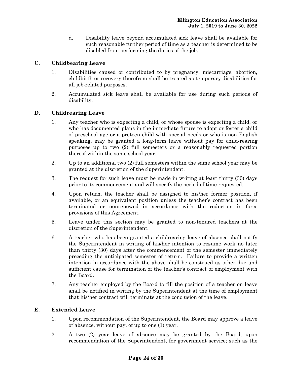d. Disability leave beyond accumulated sick leave shall be available for such reasonable further period of time as a teacher is determined to be disabled from performing the duties of the job.

# **C. Childbearing Leave**

- 1. Disabilities caused or contributed to by pregnancy, miscarriage, abortion, childbirth or recovery therefrom shall be treated as temporary disabilities for all job-related purposes.
- 2. Accumulated sick leave shall be available for use during such periods of disability.

### **D. Childrearing Leave**

- 1. Any teacher who is expecting a child, or whose spouse is expecting a child, or who has documented plans in the immediate future to adopt or foster a child of preschool age or a preteen child with special needs or who is non-English speaking, may be granted a long-term leave without pay for child-rearing purposes up to two (2) full semesters or a reasonably requested portion thereof within the same school year.
- 2. Up to an additional two (2) full semesters within the same school year may be granted at the discretion of the Superintendent.
- 3. The request for such leave must be made in writing at least thirty (30) days prior to its commencement and will specify the period of time requested.
- 4. Upon return, the teacher shall be assigned to his/her former position, if available, or an equivalent position unless the teacher's contract has been terminated or nonrenewed in accordance with the reduction in force provisions of this Agreement.
- 5. Leave under this section may be granted to non-tenured teachers at the discretion of the Superintendent.
- 6. A teacher who has been granted a childrearing leave of absence shall notify the Superintendent in writing of his/her intention to resume work no later than thirty (30) days after the commencement of the semester immediately preceding the anticipated semester of return. Failure to provide a written intention in accordance with the above shall be construed as other due and sufficient cause for termination of the teacher's contract of employment with the Board.
- 7. Any teacher employed by the Board to fill the position of a teacher on leave shall be notified in writing by the Superintendent at the time of employment that his/her contract will terminate at the conclusion of the leave.

### **E. Extended Leave**

- 1. Upon recommendation of the Superintendent, the Board may approve a leave of absence, without pay, of up to one (1) year.
- 2. A two (2) year leave of absence may be granted by the Board, upon recommendation of the Superintendent, for government service; such as the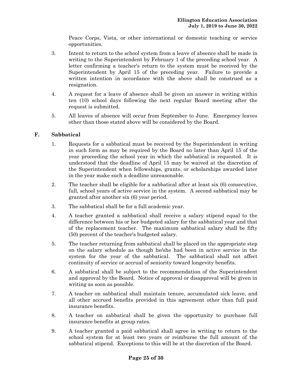Peace Corps, Vista, or other international or domestic teaching or service opportunities.

- 3. Intent to return to the school system from a leave of absence shall be made in writing to the Superintendent by February 1 of the preceding school year. A letter confirming a teacher's return to the system must be received by the Superintendent by April 15 of the preceding year. Failure to provide a written intention in accordance with the above shall be construed as a resignation.
- 4. A request for a leave of absence shall be given an answer in writing within ten (10) school days following the next regular Board meeting after the request is submitted.
- 5. All leaves of absence will occur from September to June. Emergency leaves other than those stated above will be considered by the Board.

# **F. Sabbatical**

- 1. Requests for a sabbatical must be received by the Superintendent in writing in such form as may be required by the Board no later than April 15 of the year proceeding the school year in which the sabbatical is requested. It is understood that the deadline of April 15 may be waived at the discretion of the Superintendent when fellowships, grants, or scholarships awarded later in the year make such a deadline unreasonable.
- 2. The teacher shall be eligible for a sabbatical after at least six (6) consecutive, full, school years of active service in the system. A second sabbatical may be granted after another six (6) year period.
- 3. The sabbatical shall be for a full academic year.
- 4. A teacher granted a sabbatical shall receive a salary stipend equal to the difference between his or her budgeted salary for the sabbatical year and that of the replacement teacher. The maximum sabbatical salary shall be fifty (50) percent of the teacher's budgeted salary.
- 5. The teacher returning from sabbatical shall be placed on the appropriate step on the salary schedule as though he/she had been in active service in the system for the year of the sabbatical. The sabbatical shall not affect continuity of service or accrual of seniority toward longevity benefits.
- 6. A sabbatical shall be subject to the recommendation of the Superintendent and approval by the Board. Notice of approval or disapproval will be given in writing as soon as possible.
- 7. A teacher on sabbatical shall maintain tenure, accumulated sick leave, and all other accrued benefits provided in this agreement other than full paid insurance benefits.
- 8. A teacher on sabbatical shall be given the opportunity to purchase full insurance benefits at group rates.
- 9. A teacher granted a paid sabbatical shall agree in writing to return to the school system for at least two years or reimburse the full amount of the sabbatical stipend. Exceptions to this will be at the discretion of the Board.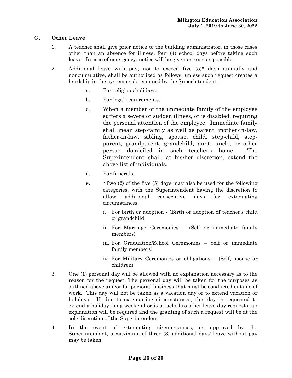# **G. Other Leave**

- 1. A teacher shall give prior notice to the building administrator, in those cases other than an absence for illness, four (4) school days before taking such leave. In case of emergency, notice will be given as soon as possible.
- 2. Additional leave with pay, not to exceed five (5)\* days annually and noncumulative, shall be authorized as follows, unless such request creates a hardship in the system as determined by the Superintendent:
	- a. For religious holidays.
	- b. For legal requirements.
	- c. When a member of the immediate family of the employee suffers a severe or sudden illness, or is disabled, requiring the personal attention of the employee. Immediate family shall mean step-family as well as parent, mother-in-law, father-in-law, sibling, spouse, child, step-child, stepparent, grandparent, grandchild, aunt, uncle, or other person domiciled in such teacher's home. The Superintendent shall, at his/her discretion, extend the above list of individuals.
	- d. For funerals.
	- e. \*Two (2) of the five (5) days may also be used for the following categories, with the Superintendent having the discretion to allow additional consecutive days for extenuating circumstances.
		- i. For birth or adoption (Birth or adoption of teacher's child or grandchild
		- ii. For Marriage Ceremonies (Self or immediate family members)
		- iii. For Graduation/School Ceremonies Self or immediate family members)
		- iv. For Military Ceremonies or obligations (Self, spouse or children)
- 3. One (1) personal day will be allowed with no explanation necessary as to the reason for the request. The personal day will be taken for the purposes as outlined above and/or for personal business that must be conducted outside of work. This day will not be taken as a vacation day or to extend vacation or holidays. If, due to extenuating circumstances, this day is requested to extend a holiday, long weekend or is attached to other leave day requests, an explanation will be required and the granting of such a request will be at the sole discretion of the Superintendent.
- 4. In the event of extenuating circumstances, as approved by the Superintendent, a maximum of three (3) additional days' leave without pay may be taken.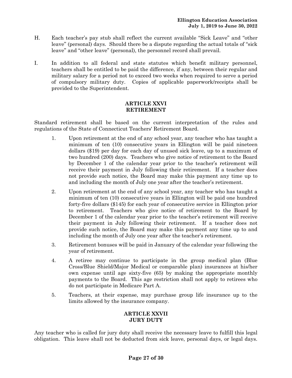- H. Each teacher's pay stub shall reflect the current available "Sick Leave" and "other leave" (personal) days. Should there be a dispute regarding the actual totals of "sick leave" and "other leave" (personal), the personnel record shall prevail.
- I. In addition to all federal and state statutes which benefit military personnel, teachers shall be entitled to be paid the difference, if any, between their regular and military salary for a period not to exceed two weeks when required to serve a period of compulsory military duty. Copies of applicable paperwork/receipts shall be provided to the Superintendent.

# **ARTICLE XXVI RETIREMENT**

Standard retirement shall be based on the current interpretation of the rules and regulations of the State of Connecticut Teachers' Retirement Board.

- 1. Upon retirement at the end of any school year, any teacher who has taught a minimum of ten (10) consecutive years in Ellington will be paid nineteen dollars (\$19) per day for each day of unused sick leave, up to a maximum of two hundred (200) days. Teachers who give notice of retirement to the Board by December 1 of the calendar year prior to the teacher's retirement will receive their payment in July following their retirement. If a teacher does not provide such notice, the Board may make this payment any time up to and including the month of July one year after the teacher's retirement.
- 2. Upon retirement at the end of any school year, any teacher who has taught a minimum of ten (10) consecutive years in Ellington will be paid one hundred forty-five dollars (\$145) for each year of consecutive service in Ellington prior to retirement. Teachers who give notice of retirement to the Board by December 1 of the calendar year prior to the teacher's retirement will receive their payment in July following their retirement. If a teacher does not provide such notice, the Board may make this payment any time up to and including the month of July one year after the teacher's retirement.
- 3. Retirement bonuses will be paid in January of the calendar year following the year of retirement.
- 4. A retiree may continue to participate in the group medical plan (Blue Cross/Blue Shield/Major Medical or comparable plan) insurances at his/her own expense until age sixty-five (65) by making the appropriate monthly payments to the Board. This age restriction shall not apply to retirees who do not participate in Medicare Part A.
- 5. Teachers, at their expense, may purchase group life insurance up to the limits allowed by the insurance company.

# **ARTICLE XXVII JURY DUTY**

Any teacher who is called for jury duty shall receive the necessary leave to fulfill this legal obligation. This leave shall not be deducted from sick leave, personal days, or legal days.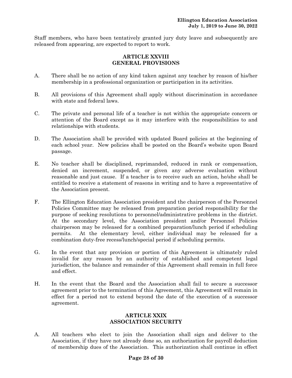Staff members, who have been tentatively granted jury duty leave and subsequently are released from appearing, are expected to report to work.

### **ARTICLE XXVIII GENERAL PROVISIONS**

- A. There shall be no action of any kind taken against any teacher by reason of his/her membership in a professional organization or participation in its activities.
- B. All provisions of this Agreement shall apply without discrimination in accordance with state and federal laws.
- C. The private and personal life of a teacher is not within the appropriate concern or attention of the Board except as it may interfere with the responsibilities to and relationships with students.
- D. The Association shall be provided with updated Board policies at the beginning of each school year. New policies shall be posted on the Board's website upon Board passage.
- E. No teacher shall be disciplined, reprimanded, reduced in rank or compensation, denied an increment, suspended, or given any adverse evaluation without reasonable and just cause. If a teacher is to receive such an action, he/she shall be entitled to receive a statement of reasons in writing and to have a representative of the Association present.
- F. The Ellington Education Association president and the chairperson of the Personnel Policies Committee may be released from preparation period responsibility for the purpose of seeking resolutions to personnel/administrative problems in the district. At the secondary level, the Association president and/or Personnel Policies chairperson may be released for a combined preparation/lunch period if scheduling permits. At the elementary level, either individual may be released for a combination duty-free recess/lunch/special period if scheduling permits.
- G. In the event that any provision or portion of this Agreement is ultimately ruled invalid for any reason by an authority of established and competent legal jurisdiction, the balance and remainder of this Agreement shall remain in full force and effect.
- H. In the event that the Board and the Association shall fail to secure a successor agreement prior to the termination of this Agreement, this Agreement will remain in effect for a period not to extend beyond the date of the execution of a successor agreement.

### **ARTICLE XXIX ASSOCIATION SECURITY**

A. All teachers who elect to join the Association shall sign and deliver to the Association, if they have not already done so, an authorization for payroll deduction of membership dues of the Association. This authorization shall continue in effect

### **Page 28 of 30**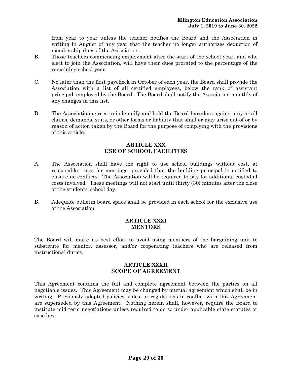from year to year unless the teacher notifies the Board and the Association in writing in August of any year that the teacher no longer authorizes deduction of membership dues of the Association.

- B. Those teachers commencing employment after the start of the school year, and who elect to join the Association, will have their dues prorated to the percentage of the remaining school year.
- C. No later than the first paycheck in October of each year, the Board shall provide the Association with a list of all certified employees, below the rank of assistant principal, employed by the Board. The Board shall notify the Association monthly of any changes in this list.
- D. The Association agrees to indemnify and hold the Board harmless against any or all claims, demands, suits, or other forms or liability that shall or may arise out of or by reason of action taken by the Board for the purpose of complying with the provisions of this article.

#### **ARTICLE XXX USE OF SCHOOL FACILITIES**

- A. The Association shall have the right to use school buildings without cost, at reasonable times for meetings, provided that the building principal is notified to ensure no conflicts. The Association will be required to pay for additional custodial costs involved. These meetings will not start until thirty (30) minutes after the close of the students' school day.
- B. Adequate bulletin board space shall be provided in each school for the exclusive use of the Association.

#### **ARTICLE XXXI MENTORS**

The Board will make its best effort to avoid using members of the bargaining unit to substitute for mentor, assessor, and/or cooperating teachers who are released from instructional duties.

#### **ARTICLE XXXII SCOPE OF AGREEMENT**

This Agreement contains the full and complete agreement between the parties on all negotiable issues. This Agreement may be changed by mutual agreement which shall be in writing. Previously adopted policies, rules, or regulations in conflict with this Agreement are superseded by this Agreement. Nothing herein shall, however, require the Board to institute mid-term negotiations unless required to do so under applicable state statutes or case law.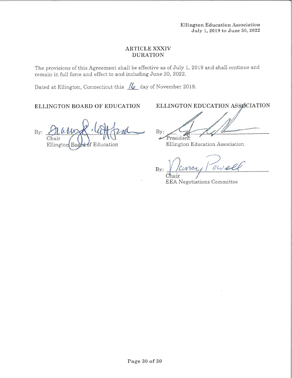#### **ARTICLE XXXIV DURATION**

The provisions of this Agreement shall be effective as of July 1, 2019 and shall continue and remain in full force and effect to and including June 30, 2022.

Dated at Ellington, Connecticut this  $\frac{1}{6}$  day of November 2018.

# ELLINGTON BOARD OF EDUCATION

ELLINGTON EDUCATION ASSOCIATION

 $\bar{B}y$ : Chair **d**of Education Ellington Boa

 $By:$ President

Ellington Education Association

owell  $100$  $By:$ 

**EEA Negotiations Committee**